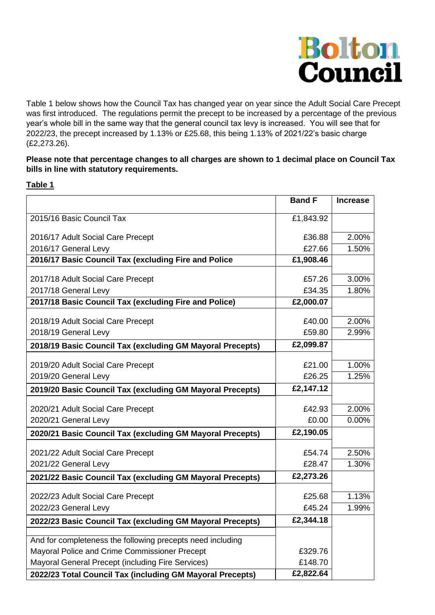

Table 1 below shows how the Council Tax has changed year on year since the Adult Social Care Precept was first introduced. The regulations permit the precept to be increased by a percentage of the previous year's whole bill in the same way that the general council tax levy is increased. You will see that for 2022/23, the precept increased by 1.13% or £25.68, this being 1.13% of 2021/22's basic charge (£2,273.26).

## **Please note that percentage changes to all charges are shown to 1 decimal place on Council Tax bills in line with statutory requirements.**

## **Table 1**

|                                                            | <b>Band F</b>    | <b>Increase</b> |
|------------------------------------------------------------|------------------|-----------------|
| 2015/16 Basic Council Tax                                  | £1,843.92        |                 |
| 2016/17 Adult Social Care Precept                          | £36.88           | 2.00%           |
| 2016/17 General Levy                                       | £27.66           | 1.50%           |
| 2016/17 Basic Council Tax (excluding Fire and Police       | £1,908.46        |                 |
| 2017/18 Adult Social Care Precept                          | £57.26           | 3.00%           |
| 2017/18 General Levy                                       | £34.35           | 1.80%           |
| 2017/18 Basic Council Tax (excluding Fire and Police)      | £2,000.07        |                 |
| 2018/19 Adult Social Care Precept                          | £40.00           | 2.00%           |
| 2018/19 General Levy                                       | £59.80           | 2.99%           |
| 2018/19 Basic Council Tax (excluding GM Mayoral Precepts)  | £2,099.87        |                 |
|                                                            |                  |                 |
| 2019/20 Adult Social Care Precept                          | £21.00           | 1.00%           |
| 2019/20 General Levy                                       | £26.25           | 1.25%           |
| 2019/20 Basic Council Tax (excluding GM Mayoral Precepts)  | £2,147.12        |                 |
| 2020/21 Adult Social Care Precept                          | £42.93           | 2.00%           |
| 2020/21 General Levy                                       | £0.00            | 0.00%           |
| 2020/21 Basic Council Tax (excluding GM Mayoral Precepts)  | £2,190.05        |                 |
| 2021/22 Adult Social Care Precept                          | £54.74           | 2.50%           |
| 2021/22 General Levy                                       | £28.47           | 1.30%           |
| 2021/22 Basic Council Tax (excluding GM Mayoral Precepts)  | £2,273.26        |                 |
|                                                            |                  |                 |
| 2022/23 Adult Social Care Precept<br>2022/23 General Levy  | £25.68<br>£45.24 | 1.13%<br>1.99%  |
|                                                            |                  |                 |
| 2022/23 Basic Council Tax (excluding GM Mayoral Precepts)  | £2,344.18        |                 |
| And for completeness the following precepts need including |                  |                 |
| Mayoral Police and Crime Commissioner Precept              | £329.76          |                 |
| Mayoral General Precept (including Fire Services)          | £148.70          |                 |
| 2022/23 Total Council Tax (including GM Mayoral Precepts)  | £2,822.64        |                 |